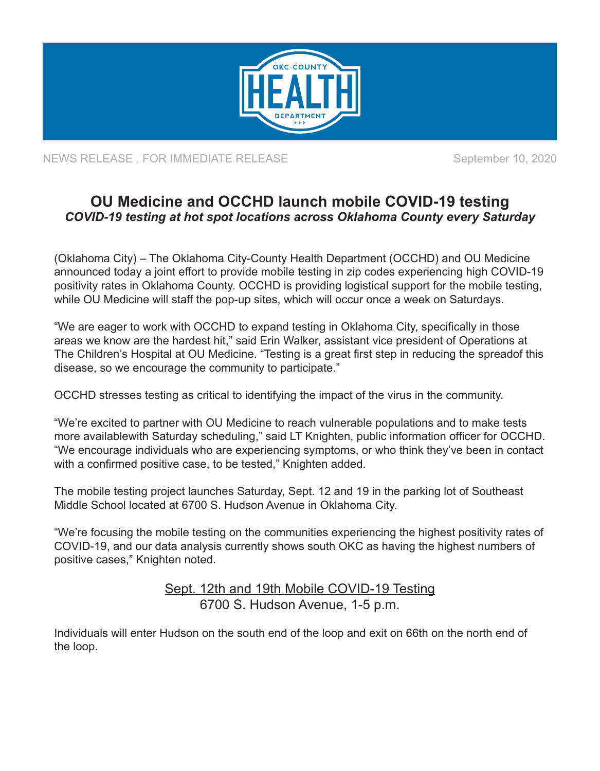

NEWS RELEASE . FOR IMMEDIATE RELEASE SEPTEMBER 2020

## **OU Medicine and OCCHD launch mobile COVID-19 testing** *COVID-19 testing at hot spot locations across Oklahoma County every Saturday*

(Oklahoma City) – The Oklahoma City-County Health Department (OCCHD) and OU Medicine announced today a joint effort to provide mobile testing in zip codes experiencing high COVID-19 positivity rates in Oklahoma County. OCCHD is providing logistical support for the mobile testing, while OU Medicine will staff the pop-up sites, which will occur once a week on Saturdays.

"We are eager to work with OCCHD to expand testing in Oklahoma City, specifically in those areas we know are the hardest hit," said Erin Walker, assistant vice president of Operations at The Children's Hospital at OU Medicine. "Testing is a great first step in reducing the spreadof this disease, so we encourage the community to participate."

OCCHD stresses testing as critical to identifying the impact of the virus in the community.

"We're excited to partner with OU Medicine to reach vulnerable populations and to make tests more availablewith Saturday scheduling," said LT Knighten, public information officer for OCCHD. "We encourage individuals who are experiencing symptoms, or who think they've been in contact with a confirmed positive case, to be tested," Knighten added.

The mobile testing project launches Saturday, Sept. 12 and 19 in the parking lot of Southeast Middle School located at 6700 S. Hudson Avenue in Oklahoma City.

"We're focusing the mobile testing on the communities experiencing the highest positivity rates of COVID-19, and our data analysis currently shows south OKC as having the highest numbers of positive cases," Knighten noted.

> Sept. 12th and 19th Mobile COVID-19 Testing 6700 S. Hudson Avenue, 1-5 p.m.

Individuals will enter Hudson on the south end of the loop and exit on 66th on the north end of the loop.